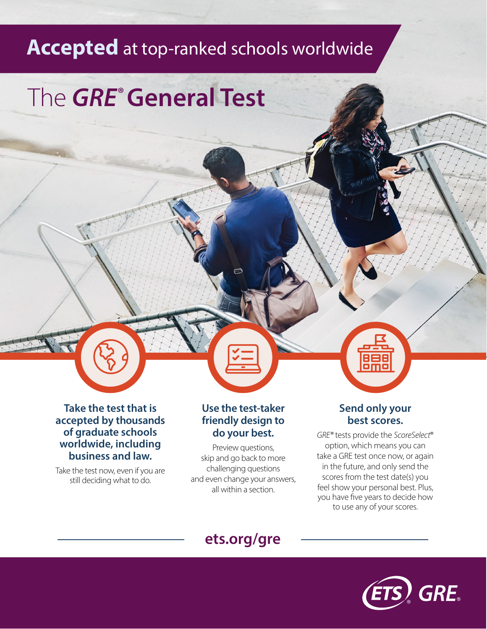## **Accepted** at top-ranked schools worldwide

# The *GRE***® General Test**

**Take the test that is accepted by thousands of graduate schools worldwide, including business and law.**

Take the test now, even if you are still deciding what to do.

#### **Use the test-taker friendly design to do your best.**

 $\Box$ 

Preview questions, skip and go back to more challenging questions and even change your answers, all within a section.

#### **Send only your best scores.**

ōm

*GRE®* tests provide the *ScoreSelect*® option, which means you can take a GRE test once now, or again in the future, and only send the scores from the test date(s) you feel show your personal best. Plus, you have five years to decide how to use any of your scores.

### **[ets.org/gre](https://www.ets.org/gre/)**